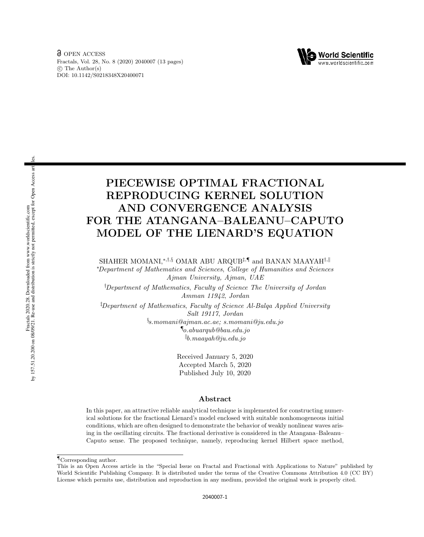

# PIECEWISE OPTIMAL FRACTIONAL REPRODUCING KERNEL SOLUTION AND CONVERGENCE ANALYSIS FOR THE ATANGANA–BALEANU–CAPUTO MODEL OF THE LIENARD'S EQUATION

SHAHER MOMANI,<sup>∗,†,§</sup> OMAR ABU ARQUB<sup>‡,¶</sup> and BANAN MAAYAH<sup>†,∥</sup> <sup>∗</sup>Department of Mathematics and Sciences, College of Humanities and Sciences Ajman University, Ajman, UAE

†Department of Mathematics, Faculty of Science The University of Jordan Amman 11942, Jordan

‡Department of Mathematics, Faculty of Science Al-Balqa Applied University Salt 19117, Jordan  $\S$ s.momani@ajman.ac.ae; s.momani@ju.edu.jo  $\P$ <sub>o.abuarqub</sub>@bau.edu.jo  $\mathbin{\parallel} b$ .maayah@ju.edu.jo

> Received January 5, 2020 Accepted March 5, 2020 Published July 10, 2020

### Abstract

In this paper, an attractive reliable analytical technique is implemented for constructing numerical solutions for the fractional Lienard's model enclosed with suitable nonhomogeneous initial conditions, which are often designed to demonstrate the behavior of weakly nonlinear waves arising in the oscillating circuits. The fractional derivative is considered in the Atangana–Baleanu– Caputo sense. The proposed technique, namely, reproducing kernel Hilbert space method,

es.

<sup>¶</sup>Corresponding author.

This is an Open Access article in the "Special Issue on Fractal and Fractional with Applications to Nature" published by World Scientific Publishing Company. It is distributed under the terms of the Creative Commons Attribution 4.0 (CC BY) License which permits use, distribution and reproduction in any medium, provided the original work is properly cited.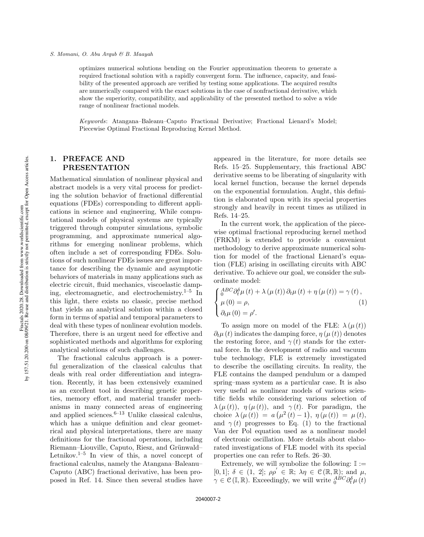optimizes numerical solutions bending on the Fourier approximation theorem to generate a required fractional solution with a rapidly convergent form. The influence, capacity, and feasibility of the presented approach are verified by testing some applications. The acquired results are numerically compared with the exact solutions in the case of nonfractional derivative, which show the superiority, compatibility, and applicability of the presented method to solve a wide range of nonlinear fractional models.

Keywords: Atangana–Baleanu–Caputo Fractional Derivative; Fractional Lienard's Model; Piecewise Optimal Fractional Reproducing Kernel Method.

### 1. PREFACE AND PRESENTATION

Mathematical simulation of nonlinear physical and abstract models is a very vital process for predicting the solution behavior of fractional differential equations (FDEs) corresponding to different applications in science and engineering, While computational models of physical systems are typically triggered through computer simulations, symbolic programming, and approximate numerical algorithms for emerging nonlinear problems, which often include a set of corresponding FDEs. Solutions of such nonlinear FDEs issues are great importance for describing the dynamic and asymptotic behaviors of materials in many applications such as electric circuit, fluid mechanics, viscoelastic damping, electromagnetic, and electrochemistry.<sup>1–5</sup> In this light, there exists no classic, precise method that yields an analytical solution within a closed form in terms of spatial and temporal parameters to deal with these types of nonlinear evolution models. Therefore, there is an urgent need for effective and sophisticated methods and algorithms for exploring analytical solutions of such challenges.

The fractional calculus approach is a powerful generalization of the classical calculus that deals with real order differentiation and integration. Recently, it has been extensively examined as an excellent tool in describing genetic properties, memory effort, and material transfer mechanisms in many connected areas of engineering and applied sciences. $6-13$  Unlike classical calculus, which has a unique definition and clear geometrical and physical interpretations, there are many definitions for the fractional operations, including Riemann–Liouville, Caputo, Riesz, and Grünwald– Letnikov.<sup>1–5</sup> In view of this, a novel concept of fractional calculus, namely the Atangana–Baleanu– Caputo (ABC) fractional derivative, has been proposed in Ref. 14. Since then several studies have

appeared in the literature, for more details see Refs. 15–25. Supplementary, this fractional ABC derivative seems to be liberating of singularity with local kernel function, because the kernel depends on the exponential formulation. Aught, this definition is elaborated upon with its special properties strongly and heavily in recent times as utilized in Refs. 14–25.

In the current work, the application of the piecewise optimal fractional reproducing kernel method (FRKM) is extended to provide a convenient methodology to derive approximate numerical solution for model of the fractional Lienard's equation (FLE) arising in oscillating circuits with ABC derivative. To achieve our goal, we consider the subordinate model:

$$
\begin{cases}\n\frac{ABC}{\partial \theta} \partial_t^{\delta} \mu(t) + \lambda (\mu(t)) \partial_t \mu(t) + \eta (\mu(t)) = \gamma(t), \\
\mu(0) = \rho, \\
\partial_t \mu(0) = \rho'.\n\end{cases} (1)
$$

To assign more on model of the FLE:  $\lambda(\mu(t))$  $\partial_t \mu(t)$  indicates the damping force,  $\eta(\mu(t))$  denotes the restoring force, and  $\gamma(t)$  stands for the external force. In the development of radio and vacuum tube technology, FLE is extremely investigated to describe the oscillating circuits. In reality, the FLE contains the damped pendulum or a damped spring–mass system as a particular case. It is also very useful as nonlinear models of various scientific fields while considering various selection of  $\lambda(\mu(t))$ ,  $\eta(\mu(t))$ , and  $\gamma(t)$ . For paradigm, the choice  $\lambda(\mu(t)) = a(\mu^2(t) - 1), \ \eta(\mu(t)) = \mu(t),$ and  $\gamma(t)$  progresses to Eq. (1) to the fractional Van der Pol equation used as a nonlinear model of electronic oscillation. More details about elaborated investigations of FLE model with its special properties one can refer to Refs. 26–30.

Extremely, we will symbolize the following:  $\mathbb{I} :=$ [0, 1];  $\delta \in (1, 2]$ ;  $\rho \rho' \in \mathbb{R}$ ;  $\lambda \eta \in \mathcal{C}(\mathbb{R}, \mathbb{R})$ ; and  $\mu$ ,  $\gamma \in \mathcal{C}(\mathbb{I}, \mathbb{R})$ . Exceedingly, we will write  $\frac{ABC}{0}\partial_t^{\delta}\mu(t)$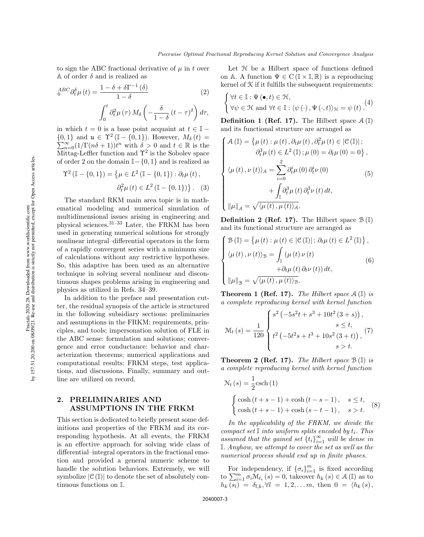to sign the ABC fractional derivative of  $\mu$  in t over A of order  $\delta$  and is realized as

$$
{}_{0}^{ABC}\partial_{t}^{\delta}\mu(t) = \frac{1 - \delta + \delta\Gamma^{-1}(\delta)}{1 - \delta}
$$
 (2)  

$$
\int_{0}^{t} \partial_{t}^{2}\mu(\tau) M_{\delta}\left(-\frac{\delta}{1 - \delta}(t - \tau)^{\delta}\right)d\tau,
$$

in which  $t = 0$  is a base point acquaint at  $t \in \mathbb{I}$  –  ${0, 1}$  and  $\mu \in \Upsilon^2$  (I – {0, 1}). However,  $M_\delta(t)$  =  $\sum_{n=0}^{\infty} (1/\Gamma(n\delta + 1))t^n$  with  $\delta > 0$  and  $t \in \mathbb{R}$  is the Mittag-Leffler function and  $\Upsilon^2$  is the Sobolev space of order 2 on the domain  $\mathbb{I}-\{0,1\}$  and is realized as

$$
\Upsilon^2 (\mathbb{I} - \{0, 1\}) = \{ \mu \in L^2 (\mathbb{I} - \{0, 1\}) : \partial_t \mu (t),
$$
  

$$
\partial_t^2 \mu (t) \in L^2 (\mathbb{I} - \{0, 1\}) \}.
$$
 (3)

The standard RKM main area topic is in mathematical modeling and numerical simulation of multidimensional issues arising in engineering and physical sciences.31–33 Later, the FRKM has been used in generating numerical solutions for strongly nonlinear integral–differential operators in the form of a rapidly convergent series with a minimum size of calculations without any restrictive hypotheses. So, this adaptive has been used as an alternative technique in solving several nonlinear and discontinuous shapes problems arising in engineering and physics as utilized in Refs. 34–39.

In addition to the preface and presentation cutter, the residual synopsis of the article is structured in the following subsidiary sections: preliminaries and assumptions in the FRKM: requirements, principles, and tools; impersonation solution of FLE in the ABC sense: formulation and solutions; convergence and error conductance: behavior and characterization theorems; numerical applications and computational results: FRKM steps, test applications, and discussions. Finally, summary and outline are utilized on record.

## 2. PRELIMINARIES AND ASSUMPTIONS IN THE FRKM

This section is dedicated to briefly present some definitions and properties of the FRKM and its corresponding hypothesis. At all events, the FRKM is an effective approach for solving wide class of differential–integral operators in the fractional emotion and provided a general numeric scheme to handle the solution behaviors. Extremely, we will symbolize  $|\mathcal{C}(\mathbb{I})|$  to denote the set of absolutely continuous functions on I.

Let  $H$  be a Hilbert space of functions defined on A. A function  $\Psi \in C(\mathbb{I} \times \mathbb{I}, \mathbb{R})$  is a reproducing kernel of  $K$  if it fulfills the subsequent requirements:

$$
\begin{cases} \forall t \in \mathbb{I}: \Psi(\bullet, t) \in \mathcal{H}, \\ \forall \psi \in \mathcal{H} \text{ and } \forall t \in \mathbb{I}: \langle \psi(\cdot), \Psi(\cdot, t) \rangle_{\mathcal{H}} = \psi(t). \end{cases} (4)
$$

**Definition 1 (Ref. 17).** The Hilbert space  $\mathcal{A}(\mathbb{I})$ and its functional structure are arranged as

$$
\begin{cases}\n\mathcal{A}(\mathbb{I}) = \left\{ \mu(t) : \mu(t), \partial_t \mu(t), \partial_t^2 \mu(t) \in |\mathcal{C}(\mathbb{I})|; \right. \\
\partial_t^3 \mu(t) \in L^2(\mathbb{I}) ; \mu(0) = \partial_t \mu(0) = 0 \right\}, \\
\langle \mu(t), \nu(t) \rangle_{\mathcal{A}} = \sum_{i=0}^2 \partial_t^i \mu(0) \partial_t^i \nu(0) \\
&\quad + \int_{\mathbb{I}} \partial_t^3 \mu(t) \partial_t^3 \nu(t) dt, \\
\|\mu\|_{\mathcal{A}} = \sqrt{\langle \mu(t), \mu(t) \rangle_{\mathcal{A}}}.\n\end{cases}
$$

**Definition 2 (Ref. 17).** The Hilbert space  $\mathcal{B}(\mathbb{I})$ and its functional structure are arranged as

$$
\begin{cases}\n\mathcal{B}(\mathbb{I}) = \{ \mu(t) : \mu(t) \in |\mathcal{C}(\mathbb{I})|; \partial_t \mu(t) \in L^2(\mathbb{I}) \}, \\
\langle \mu(t), \nu(t) \rangle_{\mathcal{B}} = \int_{\mathbb{I}} (\mu(t) \nu(t) \\
\quad + \partial_t \mu(t) \partial_t \nu(t)) dt, \\
\|\mu\|_{\mathcal{B}} = \sqrt{\langle \mu(t), \mu(t) \rangle_{\mathcal{B}}}.\n\end{cases} \tag{6}
$$

**Theorem 1 (Ref. 17).** The Hilbert space  $A(\mathbb{I})$  is a complete reproducing kernel with kernel function

$$
\mathcal{M}_t(s) = \frac{1}{120} \begin{cases} s^2 \left( -5s^2t + s^3 + 10t^2(3+s) \right), & s \le t, \\ t^2 \left( -5t^2s + t^3 + 10s^2(3+t) \right), & s > t. \end{cases}
$$
(7)

**Theorem 2 (Ref. 17).** The Hilbert space  $\mathcal{B}(\mathbb{I})$  is a complete reproducing kernel with kernel function

$$
\mathcal{N}_t(s) = \frac{1}{2} \text{csch}(1)
$$
  

$$
\begin{cases}\n\cosh(t+s-1) + \cosh(t-s-1), & s \le t, \\
\cosh(t+s-1) + \cosh(s-t-1), & s > t.\n\end{cases}
$$
(8)

In the applicability of the FRKM, we divide the compact set  $\mathbb I$  into uniform splits encoded by  $t_i$ . This assumed that the gained set  $\{t_i\}_{i=1}^\infty$  will be dense in I. Anyhow, we attempt to cover the set as well as the numerical process should end up in finite phases.

For independency, if  $\{\sigma_i\}_{i=1}^m$  is fixed according to  $\sum_{i=1}^{m} \sigma_i \mathcal{M}_{t_i}(s) = 0$ , takeover  $h_k(s) \in \mathcal{A}(\mathbb{I})$  as to  $h_k(s_l) = \delta_{l,k}, \forall l = 1, 2, \dots m, \text{ then } 0 = \langle h_k(s), \rangle$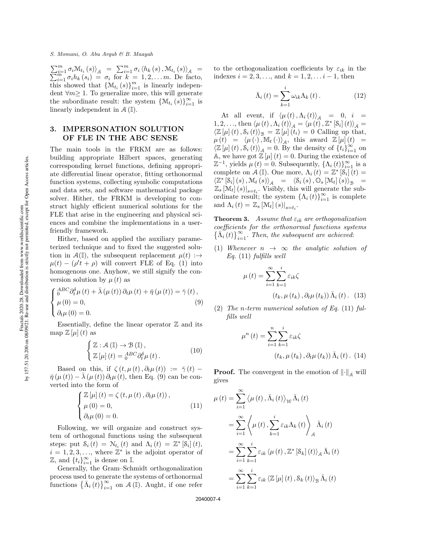#### S. Momani, O. Abu Arqub & B. Maayah

 $\sum_{i=1}^{m} \sigma_i \mathcal{M}_{t_i}(s)$ <sub>A</sub> =  $\sum_{i=1}^{m} \sigma_i \langle h_k(s), \mathcal{M}_{t_i}(s) \rangle$  $\sum$  $\begin{array}{l} \Gamma_{i=1}^{m} \, \sigma_{i} \mathcal{M}_{t_{i}} \left(s\right) \rangle_{\mathcal{A}} & = \sum_{i=1}^{m} \sigma_{i} \left\langle h_{k} \left(s\right), \mathcal{M}_{t_{i}} \left(s\right) \right\rangle_{\mathcal{A}} & = \ \Gamma_{i=1}^{m} \, \sigma_{i} h_{k} \left(s_{i}\right) & = \sigma_{i} \; \; \text{for} \; \; k = 1, 2, \ldots m. \; \; \text{De } \; \text{facto}, \end{array}$ this showed that  $\{\mathcal{M}_{t_i}(s)\}_{i=1}^m$  is linearly independent  $\forall m \geq 1$ . To generalize more, this will generate the subordinate result: the system  $\{M_{t_i}(s)\}_{i=1}^{\infty}$  is linearly independent in  $A(\mathbb{I}).$ 

### 3. IMPERSONATION SOLUTION OF FLE IN THE ABC SENSE

The main tools in the FRKM are as follows: building appropriate Hilbert spaces, generating corresponding kernel functions, defining appropriate differential linear operator, fitting orthonormal function systems, collecting symbolic computations and data sets, and software mathematical package solver. Hither, the FRKM is developing to construct highly efficient numerical solutions for the FLE that arise in the engineering and physical sciences and combine the implementations in a userfriendly framework.

Hither, based on applied the auxiliary parameterized technique and to fixed the suggested solution in  $\mathcal{A}(\mathbb{I})$ , the subsequent replacement  $\mu(t)$ : $\rightarrow$  $\mu(t) - (\rho' t + \rho)$  will convert FLE of Eq. (1) into homogenous one. Anyhow, we still signify the conversion solution by  $\mu(t)$  as

$$
\begin{cases}\n\frac{ABC}{0}\partial_t^{\delta}\mu(t) + \bar{\lambda}(\mu(t))\partial_t\mu(t) + \bar{\eta}(\mu(t)) = \bar{\gamma}(t), \\
\mu(0) = 0, \\
\partial_t\mu(0) = 0.\n\end{cases}
$$
\n(9)

Essentially, define the linear operator  $\mathbb Z$  and its map  $\mathbb{Z}[\mu](t)$  as

$$
\begin{cases} \mathbb{Z} : \mathcal{A} (\mathbb{I}) \to \mathcal{B} (\mathbb{I}), \\ \mathbb{Z} [\mu] (t) = {}_0^{ABC} \partial_t^{\delta} \mu (t). \end{cases}
$$
 (10)

Based on this, if  $\zeta(t,\mu(t),\partial_t\mu(t)) := \overline{\gamma}(t)$  $\bar{\eta}(\mu(t)) - \lambda(\mu(t)) \partial_t \mu(t)$ , then Eq. (9) can be converted into the form of

$$
\begin{cases} \mathbb{Z}\left[\mu\right](t) = \zeta\left(t, \mu\left(t\right), \partial_t \mu\left(t\right)\right), \\ \mu\left(0\right) = 0, \\ \partial_t \mu\left(0\right) = 0. \end{cases} \tag{11}
$$

Following, we will organize and construct system of orthogonal functions using the subsequent steps: put  $S_i(t) = N_{t_i}(t)$  and  $\Lambda_i(t) = \mathbb{Z}^*$  [S<sub>i</sub>](*t*),  $i = 1, 2, 3, \ldots$ , where  $\mathbb{Z}^*$  is the adjoint operator of  $\mathbb{Z}$ , and  $\{t_i\}_{i=1}^{\infty}$  is dense on I.

Generally, the Gram–Schmidt orthogonalization process used to generate the systems of orthonormal functions  $\{\bar{\Lambda}_i(\vec{t})\}_{i=1}^{\infty}$  on  $\mathcal{A}(\vec{\mathbb{I}})$ . Aught, if one refer to the orthogonalization coefficients by  $\varepsilon_{ik}$  in the indexes  $i = 2, 3, ...,$  and  $k = 1, 2, ...$   $i - 1$ , then

$$
\bar{\Lambda}_{i}\left(t\right) = \sum_{k=1}^{i} \omega_{ik} \Lambda_{k}\left(t\right). \tag{12}
$$

At all event, if  $\langle \mu (t), \Lambda_i (t) \rangle_{\mathcal{A}} = 0, i =$ 1, 2, ..., then  $\langle \mu (t) , \Lambda_i (t) \rangle_{\mathcal{A}} = \langle \mu (t) , \mathbb{Z}^* [\delta_i] (t) \rangle_{\mathcal{A}} =$  $\langle \mathbb{Z} [\mu](t), \mathcal{S}_i (t) \rangle_{\mathcal{B}} = \mathbb{Z} [\mu](t_i) = 0$  Calling up that,  $\mu(t) = \langle \mu(\cdot), \overline{\mathbb{M}}_t(\cdot) \rangle_{\mathcal{A}}, \ \text{ this award } \mathbb{Z}[\mu](t) =$  $\langle \mathbb{Z}[\mu](t), \mathcal{S}_i(t) \rangle_{\mathcal{A}} = 0.$  By the density of  $\{t_i\}_{i=1}^{\infty}$  on A, we have got  $\mathbb{Z}[\mu](t) = 0$ . During the existence of  $\mathbb{Z}^{-1}$ , yields  $\mu(t) = 0$ . Subsequently,  $\{\Lambda_i(t)\}_{i=1}^{\infty}$  is a complete on  $\mathcal{A}(\mathbb{I})$ . One more,  $\Lambda_i(t) = \mathbb{Z}^* [\hat{\mathcal{S}}_i](t) =$  $\left\langle \mathbb{Z}^*\left[\mathbb{S}_i\right](s), \mathbb{M}_t\left(s\right)\right\rangle_{\mathcal{A}} = \left\langle \mathbb{S}_i\left(s\right), \mathbb{O}_s\left[\mathbb{M}_t\right](s) \right\rangle_{\mathcal{B}} =$  $\mathbb{Z}_s[\mathcal{M}_t](s)|_{s=t_i}$ . Visibly, this will generate the subordinate result; the system  $\{\Lambda_i(t)\}_{i=1}^{\infty}$  is complete and  $\Lambda_i(t) = \mathbb{Z}_s [\mathcal{M}_t](s)|_{s=t_i}$ .

**Theorem 3.** Assume that  $\varepsilon_{ik}$  are orthogonalization coefficients for the orthonormal functions systems  $\{\tilde{\Lambda}_{i}(t)\}_{i=1}^{\infty}$ . Then, the subsequent are achieved:

(1) Whenever  $n \rightarrow \infty$  the analytic solution of  $Eq. (11)$  fulfills well

$$
\mu(t) = \sum_{i=1}^{\infty} \sum_{k=1}^{i} \varepsilon_{ik} \zeta
$$

$$
(t_k, \mu(t_k), \partial_t \mu(t_k)) \overline{\Lambda}_i(t). \quad (13)
$$

(2) The n-term numerical solution of Eq.  $(11)$  fulfills well

$$
\mu^{n}(t) = \sum_{i=1}^{n} \sum_{k=1}^{i} \varepsilon_{ik} \zeta
$$

$$
(t_{k}, \mu(t_{k}), \partial_{t} \mu(t_{k})) \overline{\Lambda}_{i}(t). (14)
$$

**Proof.** The convergent in the emotion of  $\|\cdot\|_A$  will gives

$$
\mu(t) = \sum_{i=1}^{\infty} \langle \mu(t), \bar{\Lambda}_i(t) \rangle_{\mathcal{W}} \bar{\Lambda}_i(t)
$$
  
= 
$$
\sum_{i=1}^{\infty} \langle \mu(t), \sum_{k=1}^{i} \varepsilon_{ik} \Lambda_k(t) \rangle_{\mathcal{A}} \bar{\Lambda}_i(t)
$$
  
= 
$$
\sum_{i=1}^{\infty} \sum_{k=1}^{i} \varepsilon_{ik} \langle \mu(t), \mathbb{Z}^* [\mathcal{S}_k](t) \rangle_{\mathcal{A}} \bar{\Lambda}_i(t)
$$
  
= 
$$
\sum_{i=1}^{\infty} \sum_{k=1}^{i} \varepsilon_{ik} \langle \mathbb{Z} [\mu](t), \mathcal{S}_k(t) \rangle_{\mathcal{B}} \bar{\Lambda}_i(t)
$$

2040007-4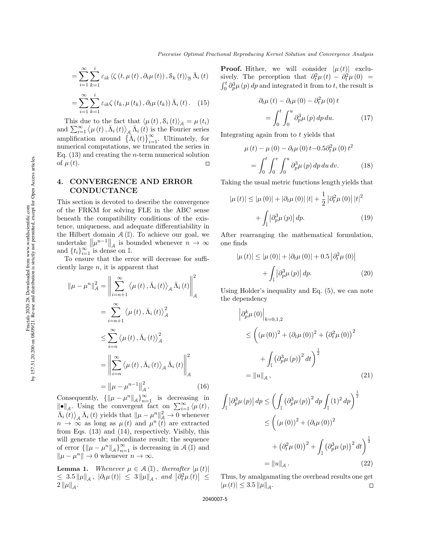$$
= \sum_{i=1}^{\infty} \sum_{k=1}^{i} \varepsilon_{ik} \left\langle \zeta\left(t, \mu\left(t\right), \partial_t \mu\left(t\right)\right), \mathcal{S}_k\left(t\right) \right\rangle_{\mathcal{B}} \bar{\Lambda}_i\left(t\right)
$$

$$
= \sum_{i=1}^{\infty} \sum_{k=1}^{i} \varepsilon_{ik} \zeta\left(t_k, \mu\left(t_k\right), \partial_t \mu\left(t_k\right)\right) \bar{\Lambda}_i\left(t\right). \tag{15}
$$

This due to the fact that  $\langle \mu (t), \mathcal{S}_i (t) \rangle_{\mathcal{A}} = \mu (t_i)$ and  $\sum_{i=1}^{\infty} \langle \mu(t), \bar{\Lambda}_{i}(t) \rangle_{A} \bar{\Lambda}_{i}(t)$  is the Fourier series amplification around  $\{\bar{\Lambda}_i(t)\}_{i=1}^{\infty}$ . Ultimately, for numerical computations, we truncated the series in Eq.  $(13)$  and creating the *n*-term numerical solution of  $\mu(t)$ .  $\Box$ 

### 4. CONVERGENCE AND ERROR **CONDUCTANCE**

This section is devoted to describe the convergence of the FRKM for solving FLE in the ABC sense beneath the compatibility conditions of the existence, uniqueness, and adequate differentiability in the Hilbert domain  $\mathcal{A}(\mathbb{I})$ . To achieve our goal, we undertake  $\|\mu^{n-1}\|_{\mathcal{A}}$  is bounded whenever  $n \to \infty$ and  $\{t_i\}_{i=1}^{\infty}$  is dense on I.

To ensure that the error will decrease for sufficiently large  $n$ , it is apparent that

$$
\|\mu - \mu^n\|_{\mathcal{A}}^2 = \left\|\sum_{i=n+1}^{\infty} \langle \mu(t), \bar{\Lambda}_i(t) \rangle_{\mathcal{A}} \bar{\Lambda}_i(t)\right\|_{\mathcal{A}}^2
$$
  

$$
= \sum_{i=n+1}^{\infty} \langle \mu(t), \bar{\Lambda}_i(t) \rangle_{\mathcal{A}}^2
$$
  

$$
\leq \sum_{i=n}^{\infty} \langle \mu(t), \bar{\Lambda}_i(t) \rangle_{\mathcal{A}}^2
$$
  

$$
= \left\|\sum_{i=n}^{\infty} \langle \mu(t), \bar{\Lambda}_i(t) \rangle_{\mathcal{A}} \bar{\Lambda}_i(t)\right\|_{\mathcal{A}}^2
$$
  

$$
= \left\|\mu - \mu^{n-1}\right\|_{\mathcal{A}}^2.
$$
 (16)

Consequently,  $\{\|\mu - \mu^n\|_{\mathcal{A}}\}_{n=1}^{\infty}$  is decreasing in  $\|\bullet\|_{\mathcal{A}}$ . Using the convergent fact on  $\sum_{i=1}^{\infty} \langle \mu(t), \cdot \rangle$  $\bar{\Lambda}_{i}(t)$ <sub>*A*</sub>  $\bar{\Lambda}_{i}(t)$  yields that  $\|\mu - \mu^{n}\|_{\mathcal{A}}^{2} \to 0$  whenever  $n \to \infty$  as long as  $\mu(t)$  and  $\mu^{n}(t)$  are extracted from Eqs. (13) and (14), respectively. Visibly, this will generate the subordinate result; the sequence of error  $\{\|\mu - \mu^n\|_{\mathcal{A}}\}_{n=1}^{\infty}$  is decreasing in  $\mathcal{A}(\mathbb{I})$  and  $\|\mu - \mu^n\| \to 0$  whenever  $n \to \infty$ .

**Lemma 1.** Whenever  $\mu \in \mathcal{A}(\mathbb{I})$ , thereafter  $|\mu(t)|$  $\leq 3.5 \|\mu\|_{\mathcal{A}}$ ,  $|\partial_t \mu(t)| \leq 3 \|\mu\|_{\mathcal{A}}$ , and  $|\partial_t^2 \mu(t)| \leq$  $2\left\Vert \mu\right\Vert _{\mathcal{A}}$  .

**Proof.** Hither, we will consider  $|\mu(t)|$  exclusively. The perception that  $\partial_t^2 \mu(t) - \partial_t^2 \mu(0) =$  $\int_0^t \partial_p^3 \mu(p) dp$  and integrated it from to t, the result is

$$
\partial_t \mu(t) - \partial_t \mu(0) - \partial_t^2 \mu(0) t
$$

$$
= \int_0^t \int_0^u \partial_p^3 \mu(p) \, dp \, du. \tag{17}
$$

Integrating again from to t yields that

$$
\mu(t) - \mu(0) - \partial_t \mu(0) t - 0.5 \partial_t^2 \mu(0) t^2
$$
  
= 
$$
\int_0^t \int_0^v \int_0^u \partial_p^3 \mu(p) dp du dv. \qquad (18)
$$

Taking the usual metric functions length yields that

$$
|\mu(t)| \le |\mu(0)| + |\partial_t \mu(0)| |t| + \frac{1}{2} |\partial_t^2 \mu(0)| |t|^2
$$
  
+ 
$$
\int_{\mathbb{I}} |\partial_p^3 \mu(p)| dp.
$$
 (19)

After rearranging the mathematical formulation, one finds

$$
|\mu(t)| \leq |\mu(0)| + |\partial_t \mu(0)| + 0.5 \left| \partial_t^2 \mu(0) \right|
$$

$$
+ \int_{\mathbb{I}} |\partial_p^3 \mu(p)| \, dp. \tag{20}
$$

Using Holder's inequality and Eq. (5), we can note the dependency

$$
\left| \partial_p^k \mu(0) \right|_{k=0,1,2} \n\le \left( (\mu(0))^2 + (\partial_t \mu(0))^2 + (\partial_t^2 \mu(0))^2 \n+ \int_{\mathbb{T}} (\partial_p^3 \mu(p))^2 dt \right)^{\frac{1}{2}} \n= \|u\|_{\mathcal{A}},
$$
\n(21)

$$
\int_{\mathbb{I}} |\partial_p^3 \mu (p)| dp \le \left( \int_{\mathbb{I}} (\partial_p^3 \mu (p))^2 dp \int_{\mathbb{I}} (1)^2 dp \right)^{\frac{1}{2}} \n\le \left( (\mu (0))^2 + (\partial_t \mu (0))^2 \n+ (\partial_t^2 \mu (0))^2 + \int_{\mathbb{I}} (\partial_p^3 \mu (p))^2 dt \right)^{\frac{1}{2}} \n= ||u||_{\mathcal{A}}.
$$
\n(22)

Thus, by amalgamating the overhead results one get  $|\mu(t)| \leq 3.5 \, ||\mu||_{\mathcal{A}}.$  $\Box$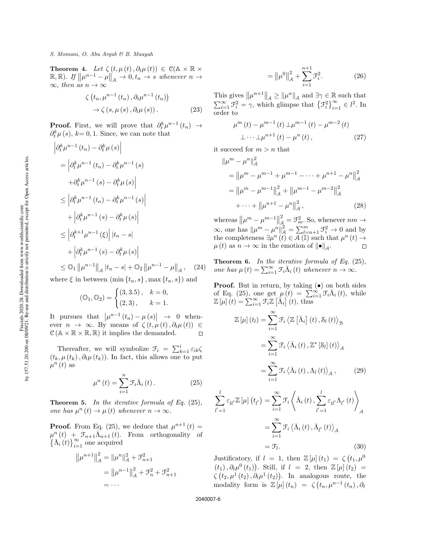**Theorem 4.** Let  $\zeta(t, \mu(t), \partial_t \mu(t)) \in \mathcal{C}(\mathbb{A} \times \mathbb{R} \times$  $\mathbb{R}, \mathbb{R}$ ). If  $\|\mu^{n-1} - \mu\|_{\mathcal{A}} \to 0, t_n \to s$  whenever  $n \to s$  $\infty$ , then as  $n \to \infty$ 

$$
\zeta(t_n, \mu^{n-1}(t_n), \partial_t \mu^{n-1}(t_n))
$$
  

$$
\rightarrow \zeta(s, \mu(s), \partial_t \mu(s)).
$$
 (23)

**Proof.** First, we will prove that  $\partial_t^k \mu^{n-1}(t_n) \rightarrow$  $\partial_t^k \mu(s)$ ,  $k=0,1$ . Since, we can note that

$$
\begin{aligned}\n\left|\partial_t^k \mu^{n-1}(t_n) - \partial_t^k \mu(s)\right| \\
&= \left|\partial_t^k \mu^{n-1}(t_n) - \partial_t^k \mu^{n-1}(s)\right. \\
\left. + \partial_t^k \mu^{n-1}(s) - \partial_t^k \mu(s)\right| \\
&\le \left|\partial_t^k \mu^{n-1}(t_n) - \partial_t^k \mu^{n-1}(s)\right| \\
&+ \left|\partial_t^k \mu^{n-1}(s) - \partial_t^k \mu(s)\right| \\
&\le \left|\partial_t^{k+1} \mu^{n-1}(s)\right| |t_n - s| \\
&+ \left|\partial_t^k \mu^{n-1}(s) - \partial_t^k \mu(s)\right| \\
&\le \mathcal{O}_1 \left\|\mu^{n-1}\right\|_{\mathcal{A}} |t_n - s| + \mathcal{O}_2 \left\|\mu^{n-1} - \mu\right\|_{\mathcal{A}}, \quad (24)\n\end{aligned}
$$

where  $\xi$  in between  $(\min\{t_n, s\}, \max\{t_n, s\})$  and

$$
(\mathbb{O}_1, \mathbb{O}_2) = \begin{cases} (3, 3.5), & k = 0, \\ (2, 3), & k = 1. \end{cases}
$$

It pursues that  $|\mu^{n-1}(t_n) - \mu(s)| \rightarrow 0$  whenever  $n \to \infty$ . By means of  $\zeta(t, \mu(t), \partial_t \mu(t)) \in$  $\mathcal{C}(\mathbb{A} \times \mathbb{R} \times \mathbb{R}, \mathbb{R})$  it implies the demanded.  $\Box$ 

Thereafter, we will symbolize  $\mathcal{F}_i = \sum_{k=1}^i \varepsilon_{ik} \zeta$  $(t_k, \mu(t_k), \partial_t \mu(t_k))$ . In fact, this allows one to put  $\mu^{n}(t)$  as

$$
\mu^{n}(t) = \sum_{i=1}^{n} \mathcal{F}_{i} \bar{\Lambda}_{i}(t).
$$
 (25)

**Theorem 5.** In the iterative formula of Eq.  $(25)$ , one has  $\mu^n(t) \to \mu(t)$  whenever  $n \to \infty$ .

**Proof.** From Eq. (25), we deduce that  $\mu^{n+1}(t) =$  $\mu^{n}(t) + \mathcal{F}_{n+1} \bar{\Lambda}_{n+1}(t)$ . From orthogonality of  $\left\{\bar{\Lambda}_{i}(t)\right\}_{i=1}^{\infty}$  one acquired

$$
\|\mu^{n+1}\|_{\mathcal{A}}^2 = \|\mu^n\|_{\mathcal{A}}^2 + \mathcal{F}_{n+1}^2
$$

$$
= \|\mu^{n-1}\|_{\mathcal{A}}^2 + \mathcal{F}_n^2 + \mathcal{F}_{n+1}^2
$$

$$
= \cdots
$$

$$
= \|\mu^0\|_{\mathcal{A}}^2 + \sum_{i=1}^{n+1} \mathcal{F}_i^2.
$$
 (26)

This gives  $\|\mu^{n+1}\|_{\mathcal{A}} \ge \|\mu^n\|_{\mathcal{A}}$  and  $\exists \gamma \in \mathbb{R}$  such that  $\sum_{i=1}^{\infty} \mathcal{F}_i^2 = \gamma$ , which glimpse that  $\{\mathcal{F}_i^2\}_{i=1}^{\infty} \in l^2$ . In order to

$$
\mu^{m}(t) - \mu^{m-1}(t) \perp \mu^{m-1}(t) - \mu^{m-2}(t) \n\perp \cdots \perp \mu^{n+1}(t) - \mu^{n}(t),
$$
\n(27)

it succeed for  $m > n$  that

$$
\|\mu^{m} - \mu^{n}\|_{\mathcal{A}}^{2}
$$
\n
$$
= \|\mu^{m} - \mu^{m-1} + \mu^{m-1} - \dots + \mu^{n+1} - \mu^{n}\|_{\mathcal{A}}^{2}
$$
\n
$$
= \|\mu^{m} - \mu^{m-1}\|_{\mathcal{A}}^{2} + \|\mu^{m-1} - \mu^{m-2}\|_{\mathcal{A}}^{2}
$$
\n
$$
+ \dots + \|\mu^{n+1} - \mu^{n}\|_{\mathcal{A}}^{2},
$$
\n(28)

2 whereas  $\|\mu^m - \mu^{m-1}\|$  $\mathcal{L}_{\mathcal{A}}^2 = \mathcal{F}_{m}^2$ . So, whenever  $nm \rightarrow$  $\infty$ , one has  $\|\mu^m - \mu^n\|_{\mathcal{A}}^2 = \sum_{l=n+1}^m \mathcal{F}_i^2 \to 0$  and by the completeness  $\exists \mu^n (t) \in \overline{A}(\mathbb{I})$  such that  $\mu^n (t) \rightarrow$  $\mu(t)$  as  $n \to \infty$  in the emotion of  $\|\bullet\|_{\mathcal{A}}$ .  $\Box$ 

**Theorem 6.** In the iterative formula of Eq.  $(25)$ , one has  $\mu(t) = \sum_{i=1}^{\infty} \mathcal{F}_i \overline{\Lambda}_i(t)$  whenever  $n \to \infty$ .

**Proof.** But in return, by taking  $(\bullet)$  on both sides of Eq. (25), one get  $\mu(t) = \sum_{i=1}^{\infty} \mathcal{F}_i \bar{\Lambda}_i(t)$ , while  $\mathbb{Z}[\mu](t) = \sum_{i=1}^{\infty} \mathcal{F}_i \mathbb{Z}[\bar{\Lambda}_i](t)$ , thus

$$
\mathbb{Z}\left[\mu\right](t_l) = \sum_{i=1}^{\infty} \mathcal{F}_i \left\langle \mathbb{Z}\left[\bar{\Lambda}_i\right](t), \mathcal{S}_l\left(t\right) \right\rangle_{\mathcal{B}}
$$

$$
= \sum_{i=1}^{\infty} \mathcal{F}_i \left\langle \bar{\Lambda}_i\left(t\right), \mathbb{Z}^*\left[\mathcal{S}_l\right](t) \right\rangle_{\mathcal{A}}
$$

$$
= \sum_{i=1}^{\infty} \mathcal{F}_i \left\langle \bar{\Lambda}_i\left(t\right), \Lambda_l\left(t\right) \right\rangle_{\mathcal{A}}, \tag{29}
$$

$$
\sum_{l'=1}^{l} \varepsilon_{ll'} \mathbb{Z} \left[ \mu \right] \left( t_{l'} \right) = \sum_{i=1}^{\infty} \mathcal{F}_i \left\langle \bar{\Lambda}_i \left( t \right), \sum_{l'=1}^{l} \varepsilon_{ll'} \Lambda_{l'} \left( t \right) \right\rangle_{\mathcal{A}}
$$

$$
= \sum_{i=1}^{\infty} \mathcal{F}_i \left\langle \bar{\Lambda}_i \left( t \right), \bar{\Lambda}_{l'} \left( t \right) \right\rangle_{\mathcal{A}}
$$

$$
= \mathcal{F}_l. \tag{30}
$$

Justificatory, if  $l = 1$ , then  $\mathbb{Z}[\mu](t_1) = \zeta(t_1, \mu^0)$  $(t_1), \partial_t \mu^0(t_1)$ . Still, if  $l = 2$ , then  $\mathbb{Z}[\mu](t_2) =$  $\zeta\left(t_2,\mu^1\left(t_2\right),\partial_t\mu^1\left(t_2\right)\right)$ . In analogous route, the modality form is  $\mathbb{Z}[\mu](t_n) = \zeta(t_n, \mu^{n-1}(t_n), \partial_t)$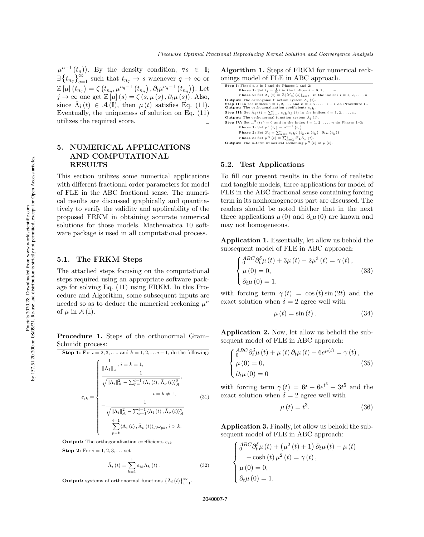$\mu^{n-1}(t_n)$ ). By the density condition,  $\forall s \in \mathbb{I};$  $\exists \{t_{n_q}\}_{q=1}^{\infty}$  such that  $t_{n_q} \to s$  whenever  $q \to \infty$  or  $\mathbb{Z}\left[\mu\right]\left(t_{n_{q}}\right) = \zeta\left(t_{n_{q}}, \mu^{n_{q}-1}\left(t_{n_{q}}\right), \partial_{t} \mu^{n_{q}-1}\left(t_{n_{q}}\right)\right).$  Let  $j \to \infty$  one get  $\mathbb{Z}[\mu](s) = \zeta(s, \mu(s), \partial_t \mu(s))$ . Also, since  $\bar{\Lambda}_i(t) \in \mathcal{A}(\mathbb{I})$ , then  $\mu(t)$  satisfies Eq. (11). Eventually, the uniqueness of solution on Eq. (11) utilizes the required score.  $\Box$ 

## 5. NUMERICAL APPLICATIONS AND COMPUTATIONAL RESULTS

This section utilizes some numerical applications with different fractional order parameters for model of FLE in the ABC fractional sense. The numerical results are discussed graphically and quantitatively to verify the validity and applicability of the proposed FRKM in obtaining accurate numerical solutions for those models. Mathematica 10 software package is used in all computational process.

### 5.1. The FRKM Steps

The attached steps focusing on the computational steps required using an appropriate software package for solving Eq. (11) using FRKM. In this Procedure and Algorithm, some subsequent inputs are needed so as to deduce the numerical reckoning  $\mu^n$ of  $\mu$  in  $\mathcal{A}(\mathbb{I}).$ 

Procedure 1. Steps of the orthonormal Gram– Schmidt process:

Step 1: For 
$$
i = 2, 3, ...
$$
, and  $k = 1, 2, ...i - 1$ , do the following:  
\n
$$
\frac{\frac{1}{\|\Lambda_1\|_{\mathcal{A}}}, i = k = 1,}{\sqrt{\|\Lambda_i\|_{\mathcal{A}}^2 - \sum_{p=1}^{i-1} \langle \Lambda_i(t), \overline{\Lambda}_p(t) \rangle_{\mathcal{A}}^2}},
$$
\n
$$
\varepsilon_{ik} = \begin{cases}\n\frac{1}{\sqrt{\|\Lambda_i\|_{\mathcal{A}}^2 - \sum_{p=1}^{i-1} \langle \Lambda_i(t), \overline{\Lambda}_p(t) \rangle_{\mathcal{A}}^2}}, & i = k \neq 1, \\
-\frac{1}{\sqrt{\|\Lambda_i\|_{\mathcal{A}}^2 - \sum_{p=1}^{i-1} \langle \Lambda_i(t), \overline{\Lambda}_p(t) \rangle_{\mathcal{A}}}} & \frac{i-1}{\sum_{p=k}^{i-1} \langle \Lambda_i(t), \overline{\Lambda}_p(t) \rangle_{\mathcal{A}} \omega_{pk}, i > k}.\n\end{cases}
$$
\n(31)

**Output:** The orthogonalization coefficients  $\varepsilon_{ik}$ .

**Step 2:** For  $i = 1, 2, 3, ...$  set

$$
\bar{\Lambda}_{i}(t) = \sum_{k=1}^{i} \varepsilon_{ik} \Lambda_{k}(t).
$$
 (32)

**Output:** systems of orthonormal functions  $\{\bar{\Lambda}_i(t)\}_{i=1}^{\infty}$ .

Algorithm 1. Steps of FRKM for numerical reckonings model of FLE in ABC approach.

| <b>Step I:</b> Fixed $t$ , $s$ in I and do Phases 1 and 2:                                                              |
|-------------------------------------------------------------------------------------------------------------------------|
| <b>Phase 1:</b> Set $t_i = \frac{1}{n}i$ in the indices $i = 0, 1, \ldots, n$ .                                         |
| <b>Phase 2:</b> Set $\Lambda_i(t) = \mathbb{Z}[\mathcal{M}_t](s) _{s=t_i}$ in the indices $i = 1, 2, , n$ .             |
| <b>Output:</b> The orthogonal function system $\Lambda_i(t)$ .                                                          |
| <b>Step II:</b> In the indices $i = 1, 2, \ldots$ and $k = 1, 2, \ldots, i - 1$ do Procedure 1                          |
| <b>Output:</b> The orthogonalization coefficients $\varepsilon_{ik}$ .                                                  |
| <b>Step III:</b> Set $\bar{\Lambda}_i(t) = \sum_{k=1}^i \varepsilon_{ik} \Lambda_k(t)$ in the indices $i = 1, 2, , n$ . |
| <b>Output:</b> The orthonormal function system $\Lambda_i(t)$ .                                                         |
| <b>Step IV:</b> Set $\mu^{0}(t_1) = 0$ and in the index $i = 1, 2, , n$ do Phases 1-3:                                  |
| <b>Phase 1:</b> Set $\mu^{i}(t_{i}) = \mu^{i-1}(t_{i}).$                                                                |
| <b>Phase 2:</b> Set $\mathcal{F}_i = \sum_{k=1}^i \varepsilon_{ik} \zeta(t_k, \mu(t_k), \partial_t \mu(t_k)).$          |
| <b>Phase 3:</b> Set $\mu^{n}(t) = \sum_{k=1}^{i} \mathcal{F}_{k} \bar{\Lambda}_{k}(t)$ .                                |
| <b>Output:</b> The <i>n</i> -term numerical reckoning $\mu^{n}(t)$ of $\mu(t)$ .                                        |

### 5.2. Test Applications

To fill our present results in the form of realistic and tangible models, three applications for model of FLE in the ABC fractional sense containing forcing term in its nonhomogeneous part are discussed. The readers should be noted thither that in the next three applications  $\mu(0)$  and  $\partial_t \mu(0)$  are known and may not homogeneous.

Application 1. Essentially, let allow us behold the subsequent model of FLE in ABC approach:

$$
\begin{cases} \n\frac{ABC}{0} \partial_t^{\delta} \mu(t) + 3\mu(t) - 2\mu^3(t) = \gamma(t),\\ \n\mu(0) = 0,\\ \n\partial_t \mu(0) = 1. \n\end{cases} \tag{33}
$$

with forcing term  $\gamma(t) = \cos(t) \sin(2t)$  and the exact solution when  $\delta = 2$  agree well with

$$
\mu(t) = \sin(t). \tag{34}
$$

Application 2. Now, let allow us behold the subsequent model of FLE in ABC approach:

$$
\begin{cases} \n\frac{ABC}{0} \partial_t^{\delta} \mu(t) + \mu(t) \partial_t \mu(t) - 6e^{\mu(t)} = \gamma(t), \\
\mu(0) = 0, \\
\partial_t \mu(0) = 0\n\end{cases}
$$
\n(35)

with forcing term  $\gamma(t) = 6t - 6e^{t^3} + 3t^5$  and the exact solution when  $\delta = 2$  agree well with

$$
\mu(t) = t^3. \tag{36}
$$

Application 3. Finally, let allow us behold the subsequent model of FLE in ABC approach:

$$
\begin{cases}\n\frac{ABC}{\partial \theta} \frac{\partial \hat{\rho}}{\partial \mu}(t) + (\mu^2(t) + 1) \partial_t \mu(t) - \mu(t) \\
-\cosh(t) \mu^2(t) = \gamma(t), \\
\mu(0) = 0, \\
\partial_t \mu(0) = 1.\n\end{cases}
$$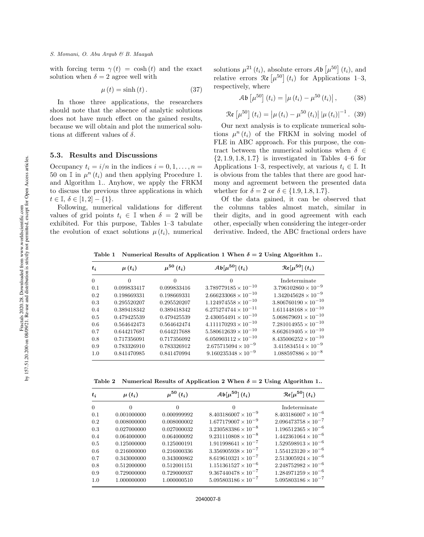with forcing term  $\gamma(t) = \cosh(t)$  and the exact solution when  $\delta = 2$  agree well with

$$
\mu(t) = \sinh(t). \tag{37}
$$

In those three applications, the researchers should note that the absence of analytic solutions does not have much effect on the gained results, because we will obtain and plot the numerical solutions at different values of  $\delta$ .

#### 5.3. Results and Discussions

Occupancy  $t_i = i/n$  in the indices  $i = 0, 1, \ldots, n =$ 50 on  $\mathbb{I}$  in  $\mu^n(t_i)$  and then applying Procedure 1. and Algorithm 1.. Anyhow, we apply the FRKM to discuss the previous three applications in which  $t \in \mathbb{I}, \delta \in [1, 2] - \{1\}.$ 

Following, numerical validations for different values of grid points  $t_i \in \mathbb{I}$  when  $\delta = 2$  will be exhibited. For this purpose, Tables 1–3 tabulate the evolution of exact solutions  $\mu(t_i)$ , numerical solutions  $\mu^{21}(t_i)$ , absolute errors  $\mathcal{A}\mathfrak{b}\left[\mu^{50}\right](t_i)$ , and relative errors  $\Re\left[\mu^{50}\right](t_i)$  for Applications 1–3, respectively, where

$$
\mathcal{A}\mathfrak{b}\left[\mu^{50}\right](t_i) = \left|\mu\left(t_i\right) - \mu^{50}\left(t_i\right)\right|,\tag{38}
$$

$$
\Re\left[\mu^{50}\right](t_i) = \left|\mu\left(t_i\right) - \mu^{50}\left(t_i\right)\right| \left|\mu\left(t_i\right)\right|^{-1}.\ (39)
$$

Our next analysis is to explicate numerical solutions  $\mu^n(t_i)$  of the FRKM in solving model of FLE in ABC approach. For this purpose, the contract between the numerical solutions when  $\delta \in$  $\{2, 1.9, 1.8, 1.7\}$  is investigated in Tables 4–6 for Applications 1–3, respectively, at various  $t_i \in \mathbb{I}$ . It is obvious from the tables that there are good harmony and agreement between the presented data whether for  $\delta = 2$  or  $\delta \in \{1.9, 1.8, 1.7\}.$ 

Of the data gained, it can be observed that the columns tables almost match, similar in their digits, and in good agreement with each other, especially when considering the integer-order derivative. Indeed, the ABC fractional orders have

Table 1 Numerical Results of Application 1 When  $\delta = 2$  Using Algorithm 1..

| $t_i$   | $\mu(t_i)$  | $\mu^{50}\left(t_i\right)$ | $\mathcal{A}\mathfrak{b}[\mu^{50}](t_i)$ | $\mathcal{R}\epsilon[\mu^{50}](t_i)$ |
|---------|-------------|----------------------------|------------------------------------------|--------------------------------------|
| 0       | $\Omega$    | $\Omega$                   |                                          | Indeterminate                        |
| 0.1     | 0.099833417 | 0.099833416                | $3.789779185 \times 10^{-10}$            | $3.796102860 \times 10^{-9}$         |
| $0.2\,$ | 0.198669331 | 0.198669331                | $2.666233068 \times 10^{-10}$            | $1.342045628 \times 10^{-9}$         |
| $0.3\,$ | 0.295520207 | 0.295520207                | $1.124974558 \times 10^{-10}$            | $3.806760190 \times 10^{-10}$        |
| 0.4     | 0.389418342 | 0.389418342                | $6.275274744 \times 10^{-11}$            | $1.611448168 \times 10^{-10}$        |
| 0.5     | 0.479425539 | 0.479425539                | $2.430054491 \times 10^{-10}$            | $5.068679691 \times 10^{-10}$        |
| 0.6     | 0.564642473 | 0.564642474                | $4.111170293 \times 10^{-10}$            | $7.281014955 \times 10^{-10}$        |
| 0.7     | 0.644217687 | 0.644217688                | $5.580612639 \times 10^{-10}$            | $8.662619405 \times 10^{-10}$        |
| 0.8     | 0.717356091 | 0.717356092                | $6.050903112 \times 10^{-10}$            | $8.435006252 \times 10^{-10}$        |
| 0.9     | 0.783326910 | 0.783326912                | $2.675715094 \times 10^{-9}$             | $3.415834514 \times 10^{-9}$         |
| 1.0     | 0.841470985 | 0.841470994                | $9.160235348 \times 10^{-9}$             | $1.088597886 \times 10^{-8}$         |

Table 2 Numerical Results of Application 2 When  $\delta = 2$  Using Algorithm 1..

| $t_i$    | $\mu(t_i)$  | $\mu^{50}\left(t_i\right)$ | $\mathcal{A}\mathfrak{b}[\mu^{50}](t_i)$ | $\mathcal{R}\epsilon[\mu^{50}](t_i)$ |
|----------|-------------|----------------------------|------------------------------------------|--------------------------------------|
| $\Omega$ | $\Omega$    | $\Omega$                   | $\Omega$                                 | Indeterminate                        |
| 0.1      | 0.001000000 | 0.000999992                | $8.403186007 \times 10^{-9}$             | $8.403186007 \times 10^{-6}$         |
| 0.2      | 0.008000000 | 0.008000002                | $1.677179007 \times 10^{-9}$             | $2.096473758 \times 10^{-7}$         |
| 0.3      | 0.027000000 | 0.027000032                | $3.230583386 \times 10^{-8}$             | $1.196512365 \times 10^{-6}$         |
| 0.4      | 0.064000000 | 0.064000092                | $9.231110808 \times 10^{-8}$             | $1.442361064 \times 10^{-6}$         |
| 0.5      | 0.125000000 | 0.125000191                | $1.911998641 \times 10^{-7}$             | $1.529598913 \times 10^{-6}$         |
| 0.6      | 0.216000000 | 0.216000336                | $3.356905938 \times 10^{-7}$             | $1.554123120 \times 10^{-6}$         |
| 0.7      | 0.343000000 | 0.343000862                | $8.619610321 \times 10^{-7}$             | $2.513005924 \times 10^{-6}$         |
| 0.8      | 0.512000000 | 0.512001151                | $1.151361527 \times 10^{-6}$             | $2.248752982 \times 10^{-6}$         |
| 0.9      | 0.729000000 | 0.729000937                | $9.367440478 \times 10^{-7}$             | $1.284971259 \times 10^{-6}$         |
| 1.0      | 1.000000000 | 1.000000510                | $5.095803186 \times 10^{-7}$             | $5.095803186 \times 10^{-7}$         |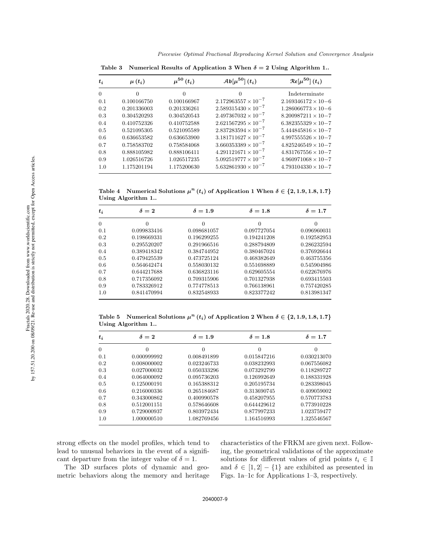| $\Omega$<br>0<br>0<br>$2.172963557 \times 10^{-7}$<br>0.1<br>0.100166750<br>0.100166967<br>$2.589315430 \times 10^{-7}$<br>0.201336003<br>0.201336261<br>0.2<br>$2.497367032 \times 10^{-7}$<br>0.304520543<br>0.304520293<br>0.3<br>$2.621567295 \times 10^{-7}$<br>0.410752588<br>0.410752326<br>0.4<br>$2.837283594 \times 10^{-7}$<br>0.521095589<br>0.5<br>0.521095305<br>$3.181711627 \times 10^{-7}$<br>0.636653900<br>0.636653582<br>0.6<br>$3.660353389 \times 10^{-7}$<br>0.758583702<br>0.758584068<br>0.7<br>$4.291121671 \times 10^{-7}$<br>0.888106411<br>0.8<br>0.888105982<br>$5.092519777 \times 10^{-7}$<br>1.026516726<br>1.026517235<br>0.9 | $\mathcal{R}\epsilon[\mu^{50}](t_i)$ | $\mathcal{A}\mathfrak{b}[\mu^{50}](t_i)$ | $\mu^{50} (t_i)$ | $\mu(t_i)$ | $t_i$ |
|-----------------------------------------------------------------------------------------------------------------------------------------------------------------------------------------------------------------------------------------------------------------------------------------------------------------------------------------------------------------------------------------------------------------------------------------------------------------------------------------------------------------------------------------------------------------------------------------------------------------------------------------------------------------|--------------------------------------|------------------------------------------|------------------|------------|-------|
|                                                                                                                                                                                                                                                                                                                                                                                                                                                                                                                                                                                                                                                                 | Indeterminate                        |                                          |                  |            |       |
|                                                                                                                                                                                                                                                                                                                                                                                                                                                                                                                                                                                                                                                                 | $2.169346172 \times 10 - 6$          |                                          |                  |            |       |
|                                                                                                                                                                                                                                                                                                                                                                                                                                                                                                                                                                                                                                                                 | $1.286066773 \times 10 - 6$          |                                          |                  |            |       |
|                                                                                                                                                                                                                                                                                                                                                                                                                                                                                                                                                                                                                                                                 | $8.200987211 \times 10-7$            |                                          |                  |            |       |
|                                                                                                                                                                                                                                                                                                                                                                                                                                                                                                                                                                                                                                                                 | $6.382355329 \times 10 - 7$          |                                          |                  |            |       |
|                                                                                                                                                                                                                                                                                                                                                                                                                                                                                                                                                                                                                                                                 | $5.444845816 \times 10 - 7$          |                                          |                  |            |       |
|                                                                                                                                                                                                                                                                                                                                                                                                                                                                                                                                                                                                                                                                 | $4.997555526 \times 10 - 7$          |                                          |                  |            |       |
|                                                                                                                                                                                                                                                                                                                                                                                                                                                                                                                                                                                                                                                                 | $4.825246549 \times 10 - 7$          |                                          |                  |            |       |
|                                                                                                                                                                                                                                                                                                                                                                                                                                                                                                                                                                                                                                                                 | $4.831767556 \times 10 - 7$          |                                          |                  |            |       |
|                                                                                                                                                                                                                                                                                                                                                                                                                                                                                                                                                                                                                                                                 | $4.960971068 \times 10 - 7$          |                                          |                  |            |       |
| $5.632861930 \times 10^{-7}$<br>1.175201194<br>1.175200630<br>1.0                                                                                                                                                                                                                                                                                                                                                                                                                                                                                                                                                                                               | $4.793104330 \times 10 - 7$          |                                          |                  |            |       |

Table 3 Numerical Results of Application 3 When  $\delta = 2$  Using Algorithm 1..

Table 4 Numerical Solutions  $\mu^{n}(t_i)$  of Application 1 When  $\delta \in \{2, 1.9, 1.8, 1.7\}$ Using Algorithm 1..

| $t_i$    | $\delta=2$  | $\delta = 1.9$ | $\delta = 1.8$ | $\delta = 1.7$ |
|----------|-------------|----------------|----------------|----------------|
| $\theta$ | $\Omega$    | $\overline{0}$ | 0              | $\theta$       |
| 0.1      | 0.099833416 | 0.098681057    | 0.097727054    | 0.096960031    |
| 0.2      | 0.198669331 | 0.196299255    | 0.194241208    | 0.192582953    |
| 0.3      | 0.295520207 | 0.291966516    | 0.288794809    | 0.286232594    |
| 0.4      | 0.389418342 | 0.384744952    | 0.380467024    | 0.376926644    |
| 0.5      | 0.479425539 | 0.473725124    | 0.468382649    | 0.463755356    |
| 0.6      | 0.564642474 | 0.558030132    | 0.551698889    | 0.545904986    |
| 0.7      | 0.644217688 | 0.636823116    | 0.629605554    | 0.622676976    |
| 0.8      | 0.717356092 | 0.709315906    | 0.701327938    | 0.693415503    |
| 0.9      | 0.783326912 | 0.774778513    | 0.766138961    | 0.757420285    |
| 1.0      | 0.841470994 | 0.832548933    | 0.823377242    | 0.813981347    |

Table 5 Numerical Solutions  $\mu^{n}(t_i)$  of Application 2 When  $\delta \in \{2, 1.9, 1.8, 1.7\}$ Using Algorithm 1..

| $t_i$    | $\delta=2$  | $\delta = 1.9$ | $\delta = 1.8$ | $\delta = 1.7$ |
|----------|-------------|----------------|----------------|----------------|
| $\theta$ | 0           | $\Omega$       | 0              | $\theta$       |
| 0.1      | 0.000999992 | 0.008491899    | 0.015847216    | 0.030213070    |
| 0.2      | 0.008000002 | 0.023246733    | 0.038232993    | 0.067556082    |
| 0.3      | 0.027000032 | 0.050333296    | 0.073292799    | 0.118289727    |
| 0.4      | 0.064000092 | 0.095736203    | 0.126992649    | 0.188331928    |
| 0.5      | 0.125000191 | 0.165388312    | 0.205195734    | 0.283398045    |
| 0.6      | 0.216000336 | 0.265184687    | 0.313690745    | 0.409059002    |
| 0.7      | 0.343000862 | 0.400990578    | 0.458207955    | 0.570773783    |
| 0.8      | 0.512001151 | 0.578646608    | 0.644429612    | 0.773910228    |
| 0.9      | 0.729000937 | 0.803972434    | 0.877997233    | 1.023759477    |
| 1.0      | 1.000000510 | 1.082769456    | 1.164516993    | 1.325546567    |

strong effects on the model profiles, which tend to lead to unusual behaviors in the event of a significant departure from the integer value of  $\delta = 1$ .

The 3D surfaces plots of dynamic and geometric behaviors along the memory and heritage characteristics of the FRKM are given next. Following, the geometrical validations of the approximate solutions for different values of grid points  $t_i \in \mathbb{I}$ and  $\delta \in [1, 2] - \{1\}$  are exhibited as presented in Figs. 1a–1c for Applications 1–3, respectively.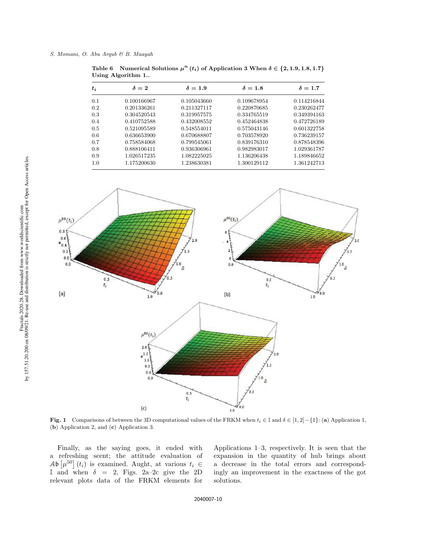| $t_i$ | $\delta=2$  | $\delta = 1.9$ | $\delta = 1.8$ | $\delta = 1.7$ |
|-------|-------------|----------------|----------------|----------------|
| 0.1   | 0.100166967 | 0.105043660    | 0.109678954    | 0.114216844    |
| 0.2   | 0.201336261 | 0.211327117    | 0.220870685    | 0.230262477    |
| 0.3   | 0.304520543 | 0.319957575    | 0.334765519    | 0.349394163    |
| 0.4   | 0.410752588 | 0.432008552    | 0.452464838    | 0.472726189    |
| 0.5   | 0.521095589 | 0.548554011    | 0.575043146    | 0.601322758    |
| 0.6   | 0.636653900 | 0.670688807    | 0.703578920    | 0.736239157    |
| 0.7   | 0.758584068 | 0.799545061    | 0.839176310    | 0.878548396    |
| 0.8   | 0.888106411 | 0.936306961    | 0.982983017    | 1.029361787    |
| 0.9   | 1.026517235 | 1.082225025    | 1.136206438    | 1.189846652    |
| 1.0   | 1.175200630 | 1.238630381    | 1.300129112    | 1.361242713    |

Table 6 Numerical Solutions  $\mu^{n}(t_i)$  of Application 3 When  $\delta \in \{2, 1.9, 1.8, 1.7\}$ Using Algorithm 1..



Fig. 1 Comparisons of between the 3D computational values of the FRKM when  $t_i \in \mathbb{I}$  and  $\delta \in [1,2] - \{1\}$ : (a) Application 1, (b) Application 2, and (c) Application 3.

Finally, as the saying goes, it ended with a refreshing scent; the attitude evaluation of  $\mathcal{A}\mathfrak{b}\left[\mu^{50}\right](t_i)$  is examined. Aught, at various  $t_i \in$ I and when  $\delta = 2$ , Figs. 2a-2c give the 2D relevant plots data of the FRKM elements for

Applications 1–3, respectively. It is seen that the expansion in the quantity of hub brings about a decrease in the total errors and correspondingly an improvement in the exactness of the got solutions.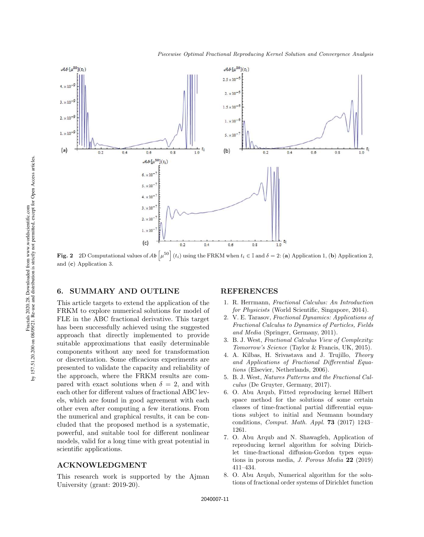

Fig. 2 2D Computational values of  $\mathcal{A}b\left[\mu^{50}\right](t_i)$  using the FRKM when  $t_i \in \mathbb{I}$  and  $\delta = 2$ : (a) Application 1, (b) Application 2, and (c) Application 3.

### 6. SUMMARY AND OUTLINE

This article targets to extend the application of the FRKM to explore numerical solutions for model of FLE in the ABC fractional derivative. This target has been successfully achieved using the suggested approach that directly implemented to provide suitable approximations that easily determinable components without any need for transformation or discretization. Some efficacious experiments are presented to validate the capacity and reliability of the approach, where the FRKM results are compared with exact solutions when  $\delta = 2$ , and with each other for different values of fractional ABC levels, which are found in good agreement with each other even after computing a few iterations. From the numerical and graphical results, it can be concluded that the proposed method is a systematic, powerful, and suitable tool for different nonlinear models, valid for a long time with great potential in scientific applications.

### ACKNOWLEDGMENT

This research work is supported by the Ajman University (grant: 2019-20).

#### REFERENCES

- 1. R. Herrmann, Fractional Calculus: An Introduction for Physicists (World Scientific, Singapore, 2014).
- 2. V. E. Tarasov, Fractional Dynamics: Applications of Fractional Calculus to Dynamics of Particles, Fields and Media (Springer, Germany, 2011).
- 3. B. J. West, Fractional Calculus View of Complexity: Tomorrow's Science (Taylor & Francis, UK, 2015).
- 4. A. Kilbas, H. Srivastava and J. Trujillo, Theory and Applications of Fractional Differential Equations (Elsevier, Netherlands, 2006).
- 5. B. J. West, Natures Patterns and the Fractional Calculus (De Gruyter, Germany, 2017).
- 6. O. Abu Arqub, Fitted reproducing kernel Hilbert space method for the solutions of some certain classes of time-fractional partial differential equations subject to initial and Neumann boundary conditions, Comput. Math. Appl. 73 (2017) 1243– 1261.
- 7. O. Abu Arqub and N. Shawagfeh, Application of reproducing kernel algorithm for solving Dirichlet time-fractional diffusion-Gordon types equations in porous media, J. Porous Media 22 (2019) 411–434.
- 8. O. Abu Arqub, Numerical algorithm for the solutions of fractional order systems of Dirichlet function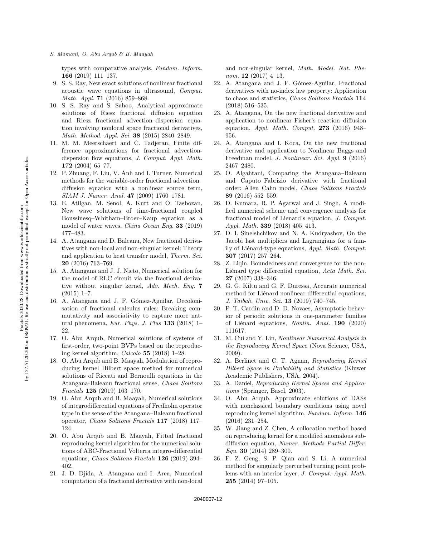types with comparative analysis, Fundam. Inform. 166 (2019) 111–137.

- 9. S. S. Ray, New exact solutions of nonlinear fractional acoustic wave equations in ultrasound, Comput. Math. Appl. **71** (2016) 859-868.
- 10. S. S. Ray and S. Sahoo, Analytical approximate solutions of Riesz fractional diffusion equation and Riesz fractional advection–dispersion equation involving nonlocal space fractional derivatives, Math. Method. Appl. Sci. 38 (2015) 2840–2849.
- 11. M. M. Meerschaert and C. Tadjeran, Finite difference approximations for fractional advectiondispersion flow equations, J. Comput. Appl. Math. 172 (2004) 65–77.
- 12. P. Zhuang, F. Liu, V. Anh and I. Turner, Numerical methods for the variable-order fractional advection– diffusion equation with a nonlinear source term, SIAM J. Numer. Anal. 47 (2009) 1760–1781.
- 13. E. Atilgan, M. Senol, A. Kurt and O. Tasbozan, New wave solutions of time-fractional coupled Boussinesq–Whitham–Broer–Kaup equation as a model of water waves, China Ocean Eng. 33 (2019) 477–483.
- 14. A. Atangana and D. Baleanu, New fractional derivatives with non-local and non-singular kernel: Theory and application to heat transfer model, Therm. Sci. 20 (2016) 763–769.
- 15. A. Atangana and J. J. Nieto, Numerical solution for the model of RLC circuit via the fractional derivative without singular kernel, Adv. Mech. Eng. 7  $(2015)$  1–7.
- 16. A. Atangana and J. F. Gómez-Aguilar, Decolonisation of fractional calculus rules: Breaking commutativity and associativity to capture more natural phenomena, Eur. Phys. J. Plus 133 (2018) 1– 22.
- 17. O. Abu Arqub, Numerical solutions of systems of first-order, two-point BVPs based on the reproducing kernel algorithm, Calcolo 55 (2018) 1–28.
- 18. O. Abu Arqub and B. Maayah, Modulation of reproducing kernel Hilbert space method for numerical solutions of Riccati and Bernoulli equations in the Atangana-Baleanu fractional sense, Chaos Solitons Fractals 125 (2019) 163–170.
- 19. O. Abu Arqub and B. Maayah, Numerical solutions of integrodifferential equations of Fredholm operator type in the sense of the Atangana–Baleanu fractional operator, Chaos Solitons Fractals 117 (2018) 117– 124.
- 20. O. Abu Arqub and B. Maayah, Fitted fractional reproducing kernel algorithm for the numerical solutions of ABC-Fractional Volterra integro-differential equations, Chaos Solitons Fractals 126 (2019) 394– 402.
- 21. J. D. Djida, A. Atangana and I. Area, Numerical computation of a fractional derivative with non-local

and non-singular kernel, Math. Model. Nat. Phenom.  $12$  (2017) 4-13.

- 22. A. Atangana and J. F. Gómez-Aguilar, Fractional derivatives with no-index law property: Application to chaos and statistics, Chaos Solitons Fractals 114 (2018) 516–535.
- 23. A. Atangana, On the new fractional derivative and application to nonlinear Fisher's reaction–diffusion equation, Appl. Math. Comput. 273 (2016) 948– 956.
- 24. A. Atangana and I. Koca, On the new fractional derivative and application to Nonlinear Baggs and Freedman model, J. Nonlinear. Sci. Appl. 9 (2016) 2467–2480.
- 25. O. Algahtani, Comparing the Atangana–Baleanu and Caputo–Fabrizio derivative with fractional order: Allen Cahn model, Chaos Solitons Fractals 89 (2016) 552–559.
- 26. D. Kumara, R. P. Agarwal and J. Singh, A modified numerical scheme and convergence analysis for fractional model of Lienard's equation, J. Comput. Appl. Math. 339 (2018) 405–413.
- 27. D. I. Sinelshchikov and N. A. Kudryashov, On the Jacobi last multipliers and Lagrangians for a family of Liénard-type equations, Appl. Math. Comput. 307 (2017) 257–264.
- 28. Z. Liqin, Boundedness and convergence for the non-Liénard type differential equation, Acta Math. Sci. 27 (2007) 338–346.
- 29. G. G. Kiltu and G. F. Duressa, Accurate numerical method for Liénard nonlinear differential equations, J. Taibah. Univ. Sci. 13 (2019) 740–745.
- 30. P. T. Cardin and D. D. Novaes, Asymptotic behavior of periodic solutions in one-parameter families of Liénard equations, Nonlin. Anal. 190 (2020) 111617.
- 31. M. Cui and Y. Lin, Nonlinear Numerical Analysis in the Reproducing Kernel Space (Nova Science, USA, 2009).
- 32. A. Berlinet and C. T. Agnan, Reproducing Kernel Hilbert Space in Probability and Statistics (Kluwer Academic Publishers, USA, 2004).
- 33. A. Daniel, Reproducing Kernel Spaces and Applications (Springer, Basel, 2003).
- 34. O. Abu Arqub, Approximate solutions of DASs with nonclassical boundary conditions using novel reproducing kernel algorithm, Fundam. Inform. 146 (2016) 231–254.
- 35. W. Jiang and Z. Chen, A collocation method based on reproducing kernel for a modified anomalous subdiffusion equation, Numer. Methods Partial Differ. Equ. 30 (2014) 289–300.
- 36. F. Z. Geng, S. P. Qian and S. Li, A numerical method for singularly perturbed turning point problems with an interior layer, J. Comput. Appl. Math. 255 (2014) 97–105.